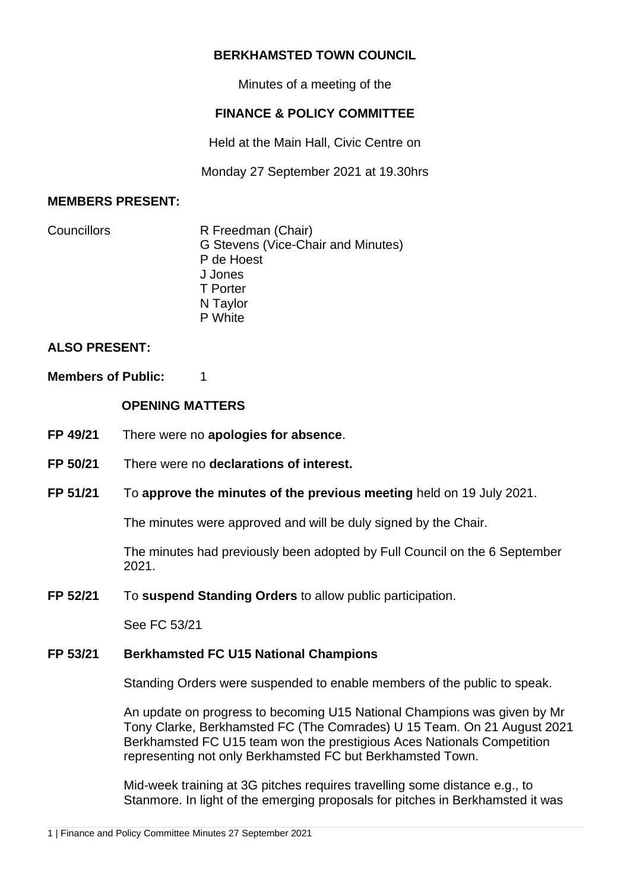# **BERKHAMSTED TOWN COUNCIL**

Minutes of a meeting of the

# **FINANCE & POLICY COMMITTEE**

Held at the Main Hall, Civic Centre on

Monday 27 September 2021 at 19.30hrs

### **MEMBERS PRESENT:**

Councillors R Freedman (Chair) G Stevens (Vice-Chair and Minutes) P de Hoest J Jones T Porter N Taylor P White

## **ALSO PRESENT:**

**Members of Public:** 1

## **OPENING MATTERS**

- **FP 49/21** There were no **apologies for absence**.
- **FP 50/21** There were no **declarations of interest.**
- **FP 51/21** To **approve the minutes of the previous meeting** held on 19 July 2021.

The minutes were approved and will be duly signed by the Chair.

The minutes had previously been adopted by Full Council on the 6 September 2021.

**FP 52/21** To **suspend Standing Orders** to allow public participation.

See FC 53/21

## **FP 53/21 Berkhamsted FC U15 National Champions**

Standing Orders were suspended to enable members of the public to speak.

An update on progress to becoming U15 National Champions was given by Mr Tony Clarke, Berkhamsted FC (The Comrades) U 15 Team. On 21 August 2021 Berkhamsted FC U15 team won the prestigious Aces Nationals Competition representing not only Berkhamsted FC but Berkhamsted Town.

Mid-week training at 3G pitches requires travelling some distance e.g., to Stanmore. In light of the emerging proposals for pitches in Berkhamsted it was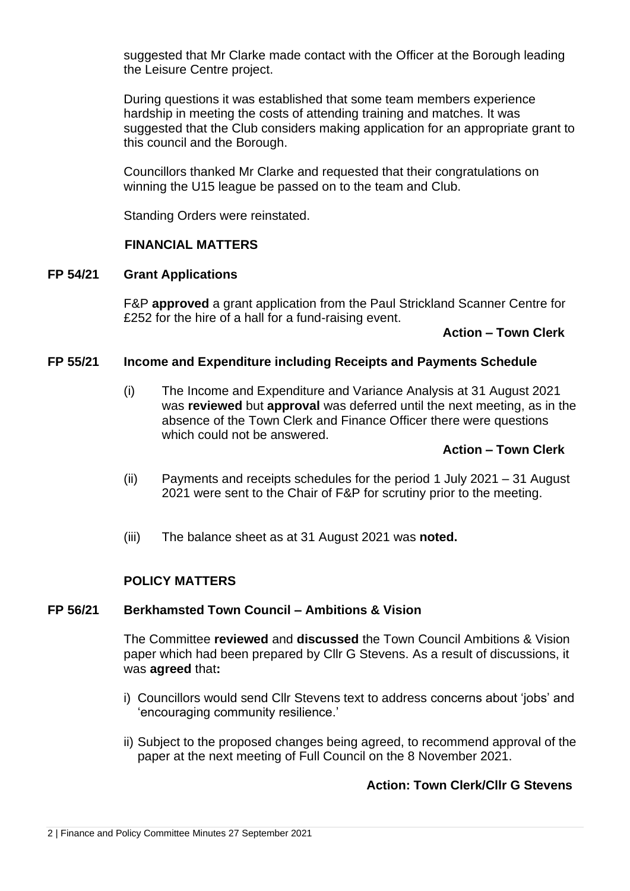suggested that Mr Clarke made contact with the Officer at the Borough leading the Leisure Centre project.

During questions it was established that some team members experience hardship in meeting the costs of attending training and matches. It was suggested that the Club considers making application for an appropriate grant to this council and the Borough.

Councillors thanked Mr Clarke and requested that their congratulations on winning the U15 league be passed on to the team and Club.

Standing Orders were reinstated.

## **FINANCIAL MATTERS**

#### **FP 54/21 Grant Applications**

F&P **approved** a grant application from the Paul Strickland Scanner Centre for £252 for the hire of a hall for a fund-raising event.

#### **Action – Town Clerk**

#### **FP 55/21 Income and Expenditure including Receipts and Payments Schedule**

(i) The Income and Expenditure and Variance Analysis at 31 August 2021 was **reviewed** but **approval** was deferred until the next meeting, as in the absence of the Town Clerk and Finance Officer there were questions which could not be answered.

## **Action – Town Clerk**

- (ii) Payments and receipts schedules for the period 1 July 2021 31 August 2021 were sent to the Chair of F&P for scrutiny prior to the meeting.
- (iii) The balance sheet as at 31 August 2021 was **noted.**

## **POLICY MATTERS**

#### **FP 56/21 Berkhamsted Town Council – Ambitions & Vision**

The Committee **reviewed** and **discussed** the Town Council Ambitions & Vision paper which had been prepared by Cllr G Stevens. As a result of discussions, it was **agreed** that**:**

- i) Councillors would send Cllr Stevens text to address concerns about 'jobs' and 'encouraging community resilience.'
- ii) Subject to the proposed changes being agreed, to recommend approval of the paper at the next meeting of Full Council on the 8 November 2021.

## **Action: Town Clerk/Cllr G Stevens**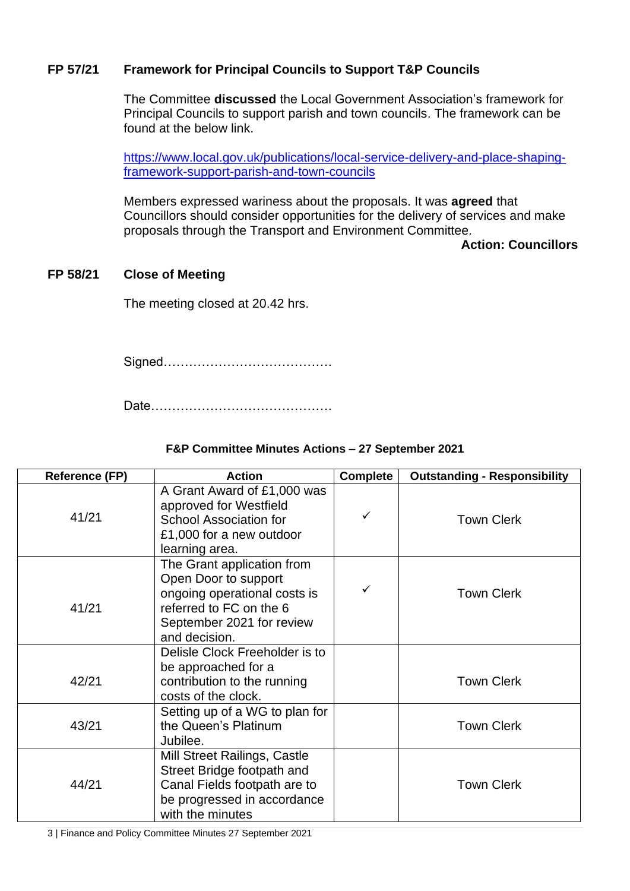## **FP 57/21 Framework for Principal Councils to Support T&P Councils**

The Committee **discussed** the Local Government Association's framework for Principal Councils to support parish and town councils. The framework can be found at the below link.

[https://www.local.gov.uk/publications/local-service-delivery-and-place-shaping](https://www.local.gov.uk/publications/local-service-delivery-and-place-shaping-framework-support-parish-and-town-councils)[framework-support-parish-and-town-councils](https://www.local.gov.uk/publications/local-service-delivery-and-place-shaping-framework-support-parish-and-town-councils)

Members expressed wariness about the proposals. It was **agreed** that Councillors should consider opportunities for the delivery of services and make proposals through the Transport and Environment Committee.

**Action: Councillors**

## **FP 58/21 Close of Meeting**

The meeting closed at 20.42 hrs.

Signed………………………………….

Date…………………………………….

## **F&P Committee Minutes Actions – 27 September 2021**

| <b>Reference (FP)</b> | <b>Action</b>                                                                                                                                               | <b>Complete</b> | <b>Outstanding - Responsibility</b> |
|-----------------------|-------------------------------------------------------------------------------------------------------------------------------------------------------------|-----------------|-------------------------------------|
| 41/21                 | A Grant Award of £1,000 was<br>approved for Westfield<br><b>School Association for</b><br>£1,000 for a new outdoor<br>learning area.                        | ✓               | <b>Town Clerk</b>                   |
| 41/21                 | The Grant application from<br>Open Door to support<br>ongoing operational costs is<br>referred to FC on the 6<br>September 2021 for review<br>and decision. | ✓               | <b>Town Clerk</b>                   |
| 42/21                 | Delisle Clock Freeholder is to<br>be approached for a<br>contribution to the running<br>costs of the clock.                                                 |                 | <b>Town Clerk</b>                   |
| 43/21                 | Setting up of a WG to plan for<br>the Queen's Platinum<br>Jubilee.                                                                                          |                 | <b>Town Clerk</b>                   |
| 44/21                 | Mill Street Railings, Castle<br>Street Bridge footpath and<br>Canal Fields footpath are to<br>be progressed in accordance<br>with the minutes               |                 | <b>Town Clerk</b>                   |

3 | Finance and Policy Committee Minutes 27 September 2021